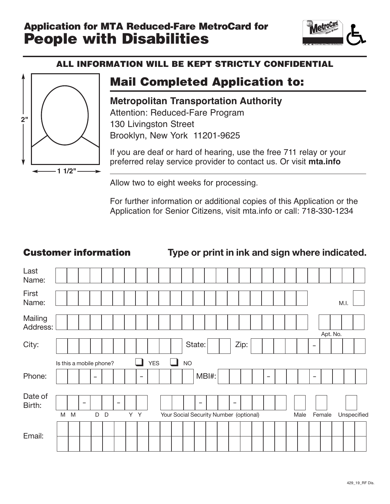# Application for MTA Reduced-Fare MetroCard for Application for MTA Reduced-Fare MetroCard for **The Metro<sup>Care</sup><br>
<b>People with Disabilities**



# ALL INFORMATION WILL BE KEPT STRICTLY CONFIDENTIAL



# Mail Completed Application to:

**Metropolitan Transportation Authority** Attention: Reduced-Fare Program 130 Livingston Street Brooklyn, New York 11201-9625

If you are deaf or hard of hearing, use the free 711 relay or your preferred relay service provider to contact us. Or visit **mta.info**

Allow two to eight weeks for processing.

For further information or additional copies of this Application or the Application for Senior Citizens, visit mta.info or call: 718-330-1234

## Customer information **Type or print in ink and sign where indicated.**

| Last<br>Name:       |                         |                          |                          |                          |     |                          |            |               |           |                                        |  |                          |      |   |  |      |                          |          |      |             |  |
|---------------------|-------------------------|--------------------------|--------------------------|--------------------------|-----|--------------------------|------------|---------------|-----------|----------------------------------------|--|--------------------------|------|---|--|------|--------------------------|----------|------|-------------|--|
| First<br>Name:      |                         |                          |                          |                          |     |                          |            |               |           |                                        |  |                          |      |   |  |      |                          |          | M.I. |             |  |
| Mailing<br>Address: |                         |                          |                          |                          |     |                          |            |               |           |                                        |  |                          |      |   |  |      |                          |          |      |             |  |
|                     |                         |                          |                          |                          |     |                          |            |               |           |                                        |  |                          |      |   |  |      |                          | Apt. No. |      |             |  |
| City:               |                         |                          |                          |                          |     |                          |            |               |           | State:                                 |  |                          | Zip: |   |  |      | $\overline{\phantom{m}}$ |          |      |             |  |
|                     | Is this a mobile phone? |                          |                          |                          |     |                          | <b>YES</b> | $\mathcal{L}$ | <b>NO</b> |                                        |  |                          |      |   |  |      |                          |          |      |             |  |
| Phone:              |                         |                          | $\overline{\phantom{a}}$ |                          |     | $\overline{\phantom{m}}$ |            |               |           | MBI#:                                  |  |                          |      | - |  |      | -                        |          |      |             |  |
|                     |                         |                          |                          |                          |     |                          |            |               |           |                                        |  |                          |      |   |  |      |                          |          |      |             |  |
| Date of<br>Birth:   |                         | $\overline{\phantom{0}}$ |                          | $\overline{\phantom{a}}$ |     |                          |            |               |           | $\overline{\phantom{0}}$               |  | $\overline{\phantom{a}}$ |      |   |  |      |                          |          |      |             |  |
|                     | M M                     |                          | D D                      |                          | Y Y |                          |            |               |           | Your Social Security Number (optional) |  |                          |      |   |  | Male |                          | Female   |      | Unspecified |  |
|                     |                         |                          |                          |                          |     |                          |            |               |           |                                        |  |                          |      |   |  |      |                          |          |      |             |  |
|                     |                         |                          |                          |                          |     |                          |            |               |           |                                        |  |                          |      |   |  |      |                          |          |      |             |  |
|                     |                         |                          |                          |                          |     |                          |            |               |           |                                        |  |                          |      |   |  |      |                          |          |      |             |  |
| Email:              |                         |                          |                          |                          |     |                          |            |               |           |                                        |  |                          |      |   |  |      |                          |          |      |             |  |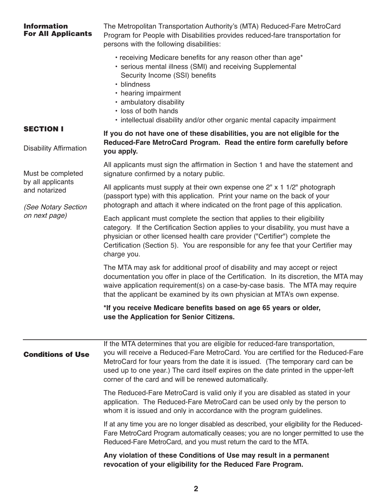| <b>Information</b><br><b>For All Applicants</b>           | The Metropolitan Transportation Authority's (MTA) Reduced-Fare MetroCard<br>Program for People with Disabilities provides reduced-fare transportation for<br>persons with the following disabilities:                                                                                                                                                                                                |
|-----------------------------------------------------------|------------------------------------------------------------------------------------------------------------------------------------------------------------------------------------------------------------------------------------------------------------------------------------------------------------------------------------------------------------------------------------------------------|
|                                                           | • receiving Medicare benefits for any reason other than age*<br>• serious mental illness (SMI) and receiving Supplemental<br>Security Income (SSI) benefits<br>• blindness<br>• hearing impairment<br>· ambulatory disability<br>· loss of both hands<br>• intellectual disability and/or other organic mental capacity impairment                                                                   |
| <b>SECTION I</b><br><b>Disability Affirmation</b>         | If you do not have one of these disabilities, you are not eligible for the<br>Reduced-Fare MetroCard Program. Read the entire form carefully before<br>you apply.                                                                                                                                                                                                                                    |
| Must be completed                                         | All applicants must sign the affirmation in Section 1 and have the statement and<br>signature confirmed by a notary public.                                                                                                                                                                                                                                                                          |
| by all applicants<br>and notarized<br>(See Notary Section | All applicants must supply at their own expense one 2" x 1 1/2" photograph<br>(passport type) with this application. Print your name on the back of your<br>photograph and attach it where indicated on the front page of this application.                                                                                                                                                          |
| on next page)                                             | Each applicant must complete the section that applies to their eligibility<br>category. If the Certification Section applies to your disability, you must have a<br>physician or other licensed health care provider ("Certifier") complete the<br>Certification (Section 5). You are responsible for any fee that your Certifier may<br>charge you.                                                 |
|                                                           | The MTA may ask for additional proof of disability and may accept or reject<br>documentation you offer in place of the Certification. In its discretion, the MTA may<br>waive application requirement(s) on a case-by-case basis. The MTA may require<br>that the applicant be examined by its own physician at MTA's own expense.                                                                   |
|                                                           | *If you receive Medicare benefits based on age 65 years or older,<br>use the Application for Senior Citizens.                                                                                                                                                                                                                                                                                        |
| <b>Conditions of Use</b>                                  | If the MTA determines that you are eligible for reduced-fare transportation,<br>you will receive a Reduced-Fare MetroCard. You are certified for the Reduced-Fare<br>MetroCard for four years from the date it is issued. (The temporary card can be<br>used up to one year.) The card itself expires on the date printed in the upper-left<br>corner of the card and will be renewed automatically. |
|                                                           | The Reduced-Fare MetroCard is valid only if you are disabled as stated in your<br>application. The Reduced-Fare MetroCard can be used only by the person to<br>whom it is issued and only in accordance with the program guidelines.                                                                                                                                                                 |
|                                                           | If at any time you are no longer disabled as described, your eligibility for the Reduced-<br>Fare MetroCard Program automatically ceases; you are no longer permitted to use the<br>Reduced-Fare MetroCard, and you must return the card to the MTA.                                                                                                                                                 |
|                                                           | Any violation of these Conditions of Use may result in a permanent<br>revocation of your eligibility for the Reduced Fare Program.                                                                                                                                                                                                                                                                   |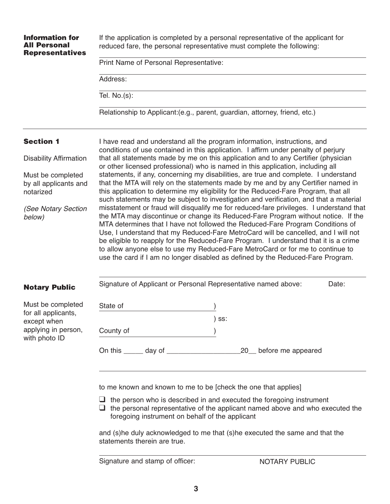| <b>Information for</b><br><b>All Personal</b><br><b>Representatives</b> |                                                                                                                                                                                                                                                                                                                                                          | Print Name of Personal Representative: |         |  | If the application is completed by a personal representative of the applicant for<br>reduced fare, the personal representative must complete the following:                                                                                                                                                                                                                                                                                                                                                                                                                                                       |       |  |  |
|-------------------------------------------------------------------------|----------------------------------------------------------------------------------------------------------------------------------------------------------------------------------------------------------------------------------------------------------------------------------------------------------------------------------------------------------|----------------------------------------|---------|--|-------------------------------------------------------------------------------------------------------------------------------------------------------------------------------------------------------------------------------------------------------------------------------------------------------------------------------------------------------------------------------------------------------------------------------------------------------------------------------------------------------------------------------------------------------------------------------------------------------------------|-------|--|--|
|                                                                         |                                                                                                                                                                                                                                                                                                                                                          |                                        |         |  |                                                                                                                                                                                                                                                                                                                                                                                                                                                                                                                                                                                                                   |       |  |  |
|                                                                         | Address:                                                                                                                                                                                                                                                                                                                                                 |                                        |         |  |                                                                                                                                                                                                                                                                                                                                                                                                                                                                                                                                                                                                                   |       |  |  |
|                                                                         | Tel. $No.(s)$ :                                                                                                                                                                                                                                                                                                                                          |                                        |         |  |                                                                                                                                                                                                                                                                                                                                                                                                                                                                                                                                                                                                                   |       |  |  |
|                                                                         |                                                                                                                                                                                                                                                                                                                                                          |                                        |         |  | Relationship to Applicant: (e.g., parent, guardian, attorney, friend, etc.)                                                                                                                                                                                                                                                                                                                                                                                                                                                                                                                                       |       |  |  |
| <b>Section 1</b>                                                        |                                                                                                                                                                                                                                                                                                                                                          |                                        |         |  | I have read and understand all the program information, instructions, and                                                                                                                                                                                                                                                                                                                                                                                                                                                                                                                                         |       |  |  |
| <b>Disability Affirmation</b>                                           |                                                                                                                                                                                                                                                                                                                                                          |                                        |         |  | conditions of use contained in this application. I affirm under penalty of perjury<br>that all statements made by me on this application and to any Certifier (physician<br>or other licensed professional) who is named in this application, including all                                                                                                                                                                                                                                                                                                                                                       |       |  |  |
| Must be completed<br>by all applicants and<br>notarized                 | statements, if any, concerning my disabilities, are true and complete. I understand<br>that the MTA will rely on the statements made by me and by any Certifier named in<br>this application to determine my eligibility for the Reduced-Fare Program, that all<br>such statements may be subject to investigation and verification, and that a material |                                        |         |  |                                                                                                                                                                                                                                                                                                                                                                                                                                                                                                                                                                                                                   |       |  |  |
| (See Notary Section<br>below)                                           |                                                                                                                                                                                                                                                                                                                                                          |                                        |         |  | misstatement or fraud will disqualify me for reduced-fare privileges. I understand that<br>the MTA may discontinue or change its Reduced-Fare Program without notice. If the<br>MTA determines that I have not followed the Reduced-Fare Program Conditions of<br>Use, I understand that my Reduced-Fare MetroCard will be cancelled, and I will not<br>be eligible to reapply for the Reduced-Fare Program. I understand that it is a crime<br>to allow anyone else to use my Reduced-Fare MetroCard or for me to continue to<br>use the card if I am no longer disabled as defined by the Reduced-Fare Program. |       |  |  |
| <b>Notary Public</b>                                                    |                                                                                                                                                                                                                                                                                                                                                          |                                        |         |  | Signature of Applicant or Personal Representative named above:                                                                                                                                                                                                                                                                                                                                                                                                                                                                                                                                                    | Date: |  |  |
| Must be completed                                                       | State of                                                                                                                                                                                                                                                                                                                                                 |                                        |         |  |                                                                                                                                                                                                                                                                                                                                                                                                                                                                                                                                                                                                                   |       |  |  |
| for all applicants,<br>except when                                      |                                                                                                                                                                                                                                                                                                                                                          |                                        | $)$ ss: |  |                                                                                                                                                                                                                                                                                                                                                                                                                                                                                                                                                                                                                   |       |  |  |
| applying in person,<br>with photo ID                                    | County of                                                                                                                                                                                                                                                                                                                                                |                                        |         |  |                                                                                                                                                                                                                                                                                                                                                                                                                                                                                                                                                                                                                   |       |  |  |
|                                                                         |                                                                                                                                                                                                                                                                                                                                                          |                                        |         |  | 20_ before me appeared                                                                                                                                                                                                                                                                                                                                                                                                                                                                                                                                                                                            |       |  |  |

to me known and known to me to be [check the one that applies]

 $\Box$  the person who is described in and executed the foregoing instrument

 $\Box$  the personal representative of the applicant named above and who executed the foregoing instrument on behalf of the applicant

and (s)he duly acknowledged to me that (s)he executed the same and that the statements therein are true.

Signature and stamp of officer: NOTARY PUBLIC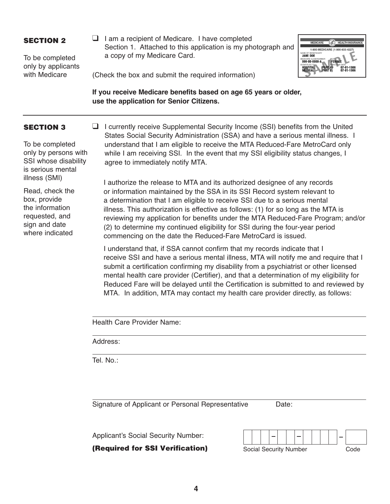#### SECTION 2

To be completed only by applicants with Medicare

 $\Box$  I am a recipient of Medicare. I have completed Section 1. Attached to this application is my photograph and a copy of my Medicare Card.



(Check the box and submit the required information)

**If you receive Medicare benefits based on age 65 years or older, use the application for Senior Citizens.**

### SECTION 3

To be completed only by persons with SSI whose disability is serious mental illness (SMI)

Read, check the box, provide the information requested, and sign and date where indicated

 $\Box$  I currently receive Supplemental Security Income (SSI) benefits from the United States Social Security Administration (SSA) and have a serious mental illness. I understand that I am eligible to receive the MTA Reduced-Fare MetroCard only while I am receiving SSI. In the event that my SSI eligibility status changes, I agree to immediately notify MTA.

I authorize the release to MTA and its authorized designee of any records or information maintained by the SSA in its SSI Record system relevant to a determination that I am eligible to receive SSI due to a serious mental illness. This authorization is effective as follows: (1) for so long as the MTA is reviewing my application for benefits under the MTA Reduced-Fare Program; and/or (2) to determine my continued eligibility for SSI during the four-year period commencing on the date the Reduced-Fare MetroCard is issued.

I understand that, if SSA cannot confirm that my records indicate that I receive SSI and have a serious mental illness, MTA will notify me and require that I submit a certification confirming my disability from a psychiatrist or other licensed mental health care provider (Certifier), and that a determination of my eligibility for Reduced Fare will be delayed until the Certification is submitted to and reviewed by MTA. In addition, MTA may contact my health care provider directly, as follows:

Health Care Provider Name:

Address:

Tel. No.:

Signature of Applicant or Personal Representative Date:

Applicant's Social Security Number:

(Required for SSI Verification)

| Social Security Number |  |  |  |  |  |  |  |  | Code. |  |
|------------------------|--|--|--|--|--|--|--|--|-------|--|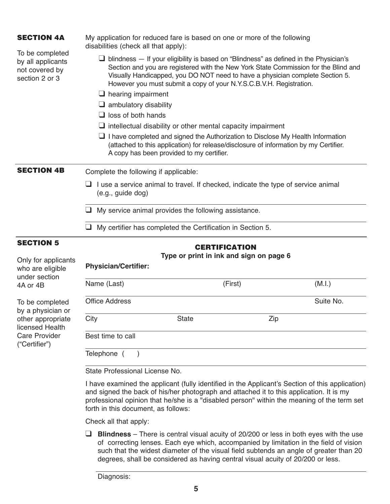| <b>SECTION 4A</b>                                                        | disabilities (check all that apply):  | My application for reduced fare is based on one or more of the following                                                                                                                                                                                                                                                                      |           |
|--------------------------------------------------------------------------|---------------------------------------|-----------------------------------------------------------------------------------------------------------------------------------------------------------------------------------------------------------------------------------------------------------------------------------------------------------------------------------------------|-----------|
| To be completed<br>by all applicants<br>not covered by<br>section 2 or 3 |                                       | $\Box$ blindness $-$ If your eligibility is based on "Blindness" as defined in the Physician's<br>Section and you are registered with the New York State Commission for the Blind and<br>Visually Handicapped, you DO NOT need to have a physician complete Section 5.<br>However you must submit a copy of your N.Y.S.C.B.V.H. Registration. |           |
|                                                                          | $\Box$ hearing impairment             |                                                                                                                                                                                                                                                                                                                                               |           |
|                                                                          | $\Box$ ambulatory disability          |                                                                                                                                                                                                                                                                                                                                               |           |
|                                                                          | $\Box$ loss of both hands             |                                                                                                                                                                                                                                                                                                                                               |           |
|                                                                          |                                       | $\Box$ intellectual disability or other mental capacity impairment                                                                                                                                                                                                                                                                            |           |
|                                                                          |                                       | $\Box$ I have completed and signed the Authorization to Disclose My Health Information<br>(attached to this application) for release/disclosure of information by my Certifier.<br>A copy has been provided to my certifier.                                                                                                                  |           |
| <b>SECTION 4B</b>                                                        | Complete the following if applicable: |                                                                                                                                                                                                                                                                                                                                               |           |
|                                                                          | (e.g., guide dog)                     | I use a service animal to travel. If checked, indicate the type of service animal                                                                                                                                                                                                                                                             |           |
|                                                                          |                                       | My service animal provides the following assistance.                                                                                                                                                                                                                                                                                          |           |
|                                                                          |                                       | My certifier has completed the Certification in Section 5.                                                                                                                                                                                                                                                                                    |           |
| <b>SECTION 5</b>                                                         |                                       | <b>CERTIFICATION</b>                                                                                                                                                                                                                                                                                                                          |           |
| Only for applicants                                                      |                                       | Type or print in ink and sign on page 6                                                                                                                                                                                                                                                                                                       |           |
| who are eligible<br>under section                                        | <b>Physician/Certifier:</b>           |                                                                                                                                                                                                                                                                                                                                               |           |
| 4A or 4B                                                                 | Name (Last)                           | (First)                                                                                                                                                                                                                                                                                                                                       | (M.I.)    |
| To be completed<br>by a physician or                                     | <b>Office Address</b>                 |                                                                                                                                                                                                                                                                                                                                               | Suite No. |

other appropriat licensed Health Care Provider ("Certifier")

| Name (Last)           |              | (First) | (M.I.)    |
|-----------------------|--------------|---------|-----------|
| <b>Office Address</b> |              |         | Suite No. |
| City                  | <b>State</b> | Zip     |           |
| Best time to call     |              |         |           |

State Professional License No.

I have examined the applicant (fully identified in the Applicant's Section of this application) and signed the back of his/her photograph and attached it to this application. It is my professional opinion that he/she is a "disabled person" within the meaning of the term set forth in this document, as follows:

Check all that apply:

 $\Box$  **Blindness** – There is central visual acuity of 20/200 or less in both eyes with the use of correcting lenses. Each eye which, accompanied by limitation in the field of vision such that the widest diameter of the visual field subtends an angle of greater than 20 degrees, shall be considered as having central visual acuity of 20/200 or less.

Diagnosis: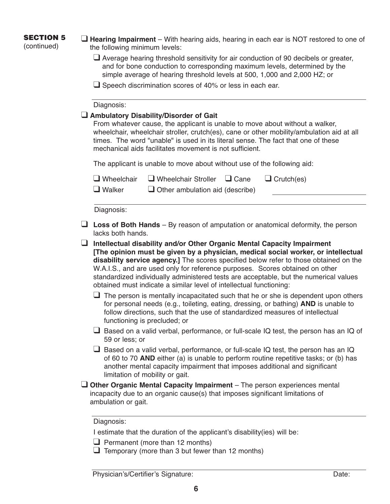# SECTION 5

(continued)

 $\Box$  **Hearing Impairment** – With hearing aids, hearing in each ear is NOT restored to one of the following minimum levels:

- $\Box$  Average hearing threshold sensitivity for air conduction of 90 decibels or greater, and for bone conduction to corresponding maximum levels, determined by the simple average of hearing threshold levels at 500, 1,000 and 2,000 HZ; or
- $\Box$  Speech discrimination scores of 40% or less in each ear.

#### Diagnosis:

#### **Q Ambulatory Disability/Disorder of Gait**

From whatever cause, the applicant is unable to move about without a walker, wheelchair, wheelchair stroller, crutch(es), cane or other mobility/ambulation aid at all times. The word "unable" is used in its literal sense. The fact that one of these mechanical aids facilitates movement is not sufficient.

The applicant is unable to move about without use of the following aid:

|               |                                        | $\Box$ Wheelchair Stroller $\Box$ Cane | $\Box$ Crutch(es) |
|---------------|----------------------------------------|----------------------------------------|-------------------|
| $\Box$ Walker | $\Box$ Other ambulation aid (describe) |                                        |                   |

Diagnosis:

- $\Box$  Loss of Both Hands By reason of amputation or anatomical deformity, the person lacks both hands.
- q **Intellectual disability and/or Other Organic Mental Capacity Impairment [The opinion must be given by a physician, medical social worker, or intellectual disability service agency.]** The scores specified below refer to those obtained on the W.A.I.S., and are used only for reference purposes. Scores obtained on other standardized individually administered tests are acceptable, but the numerical values obtained must indicate a similar level of intellectual functioning:
	- $\Box$  The person is mentally incapacitated such that he or she is dependent upon others for personal needs (e.g., toileting, eating, dressing, or bathing) **AND** is unable to follow directions, such that the use of standardized measures of intellectual functioning is precluded; or
	- $\Box$  Based on a valid verbal, performance, or full-scale IQ test, the person has an IQ of 59 or less; or
	- $\square$  Based on a valid verbal, performance, or full-scale IQ test, the person has an IQ of 60 to 70 **AND** either (a) is unable to perform routine repetitive tasks; or (b) has another mental capacity impairment that imposes additional and significant limitation of mobility or gait.
- **Q Other Organic Mental Capacity Impairment** The person experiences mental incapacity due to an organic cause(s) that imposes significant limitations of ambulation or gait.

#### Diagnosis:

I estimate that the duration of the applicant's disability(ies) will be:

- $\Box$  Permanent (more than 12 months)
- $\Box$  Temporary (more than 3 but fewer than 12 months)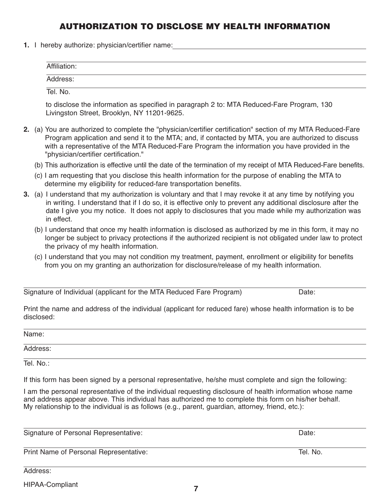## AUTHORIZATION TO DISCLOSE MY HEALTH INFORMATION

**1.** I hereby authorize: physician/certifier name:

| Affiliation: |  |
|--------------|--|
| Address:     |  |

Tel. No.

to disclose the information as specified in paragraph 2 to: MTA Reduced-Fare Program, 130 Livingston Street, Brooklyn, NY 11201-9625.

- **2.** (a) You are authorized to complete the "physician/certifier certification" section of my MTA Reduced-Fare Program application and send it to the MTA; and, if contacted by MTA, you are authorized to discuss with a representative of the MTA Reduced-Fare Program the information you have provided in the "physician/certifier certification."
	- (b) This authorization is effective until the date of the termination of my receipt of MTA Reduced-Fare benefits.
	- (c) I am requesting that you disclose this health information for the purpose of enabling the MTA to determine my eligibility for reduced-fare transportation benefits.
- **3.** (a) I understand that my authorization is voluntary and that I may revoke it at any time by notifying you in writing. I understand that if I do so, it is effective only to prevent any additional disclosure after the date I give you my notice. It does not apply to disclosures that you made while my authorization was in effect.
	- (b) I understand that once my health information is disclosed as authorized by me in this form, it may no longer be subject to privacy protections if the authorized recipient is not obligated under law to protect the privacy of my health information.
	- (c) I understand that you may not condition my treatment, payment, enrollment or eligibility for benefits from you on my granting an authorization for disclosure/release of my health information.

|  |  | Signature of Individual (applicant for the MTA Reduced Fare Program) | Date: |
|--|--|----------------------------------------------------------------------|-------|
|--|--|----------------------------------------------------------------------|-------|

Print the name and address of the individual (applicant for reduced fare) whose health information is to be disclosed:

| . .<br>าme<br>IΜ |  |  |  |
|------------------|--|--|--|
|                  |  |  |  |

Address:

Tel. No.:

If this form has been signed by a personal representative, he/she must complete and sign the following:

I am the personal representative of the individual requesting disclosure of health information whose name and address appear above. This individual has authorized me to complete this form on his/her behalf. My relationship to the individual is as follows (e.g., parent, guardian, attorney, friend, etc.):

Signature of Personal Representative:  $\Box$  Date:  $\Box$  Date:  $\Box$ 

Print Name of Personal Representative: Tel. No.

Address:

HIPAA-Compliant